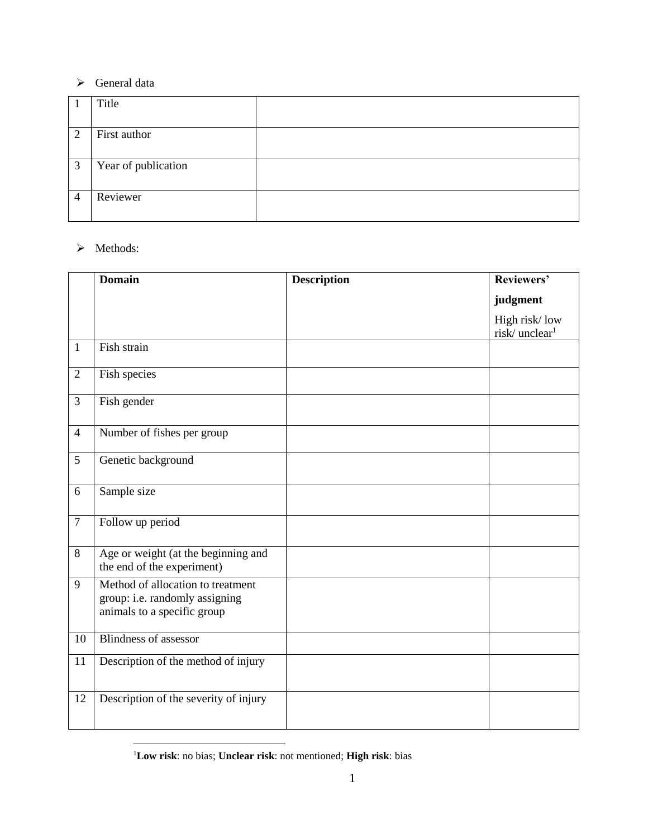#### > General data

|                | Title               |  |
|----------------|---------------------|--|
|                |                     |  |
| $\overline{2}$ | First author        |  |
|                |                     |  |
| 3              | Year of publication |  |
|                |                     |  |
| $\Delta$       | Reviewer            |  |
|                |                     |  |

### > Methods:

 $\overline{a}$ 

|                | <b>Domain</b>                                                                                      | <b>Description</b> | Reviewers'                                 |
|----------------|----------------------------------------------------------------------------------------------------|--------------------|--------------------------------------------|
|                |                                                                                                    |                    | judgment                                   |
|                |                                                                                                    |                    | High risk/low<br>risk/unclear <sup>1</sup> |
| 1              | Fish strain                                                                                        |                    |                                            |
| $\overline{2}$ | Fish species                                                                                       |                    |                                            |
| 3              | Fish gender                                                                                        |                    |                                            |
| $\overline{4}$ | Number of fishes per group                                                                         |                    |                                            |
| 5              | Genetic background                                                                                 |                    |                                            |
| 6              | Sample size                                                                                        |                    |                                            |
| $\overline{7}$ | Follow up period                                                                                   |                    |                                            |
| 8              | Age or weight (at the beginning and<br>the end of the experiment)                                  |                    |                                            |
| 9              | Method of allocation to treatment<br>group: i.e. randomly assigning<br>animals to a specific group |                    |                                            |
| 10             | <b>Blindness of assessor</b>                                                                       |                    |                                            |
| 11             | Description of the method of injury                                                                |                    |                                            |
| 12             | Description of the severity of injury                                                              |                    |                                            |

**Low risk**: no bias; **Unclear risk**: not mentioned; **High risk**: bias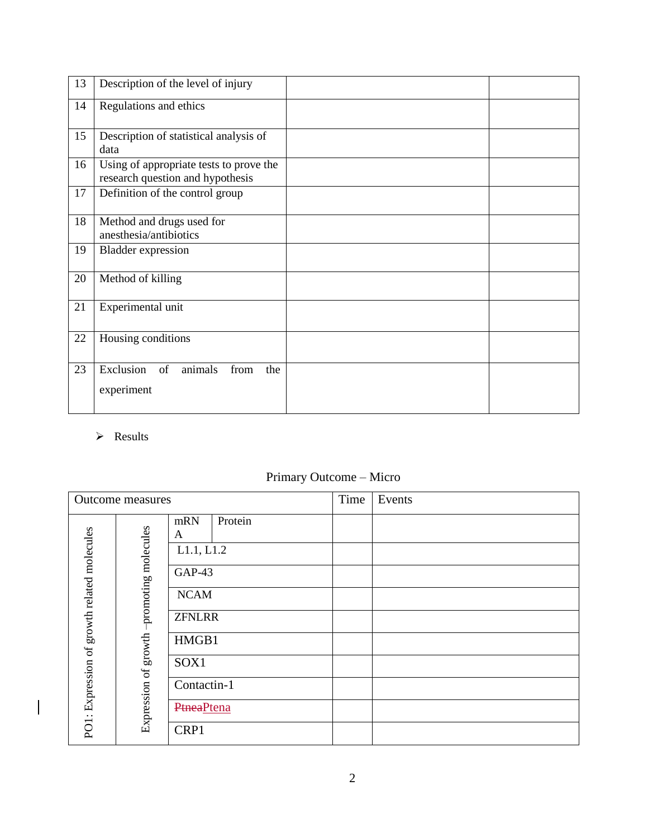| 13 | Description of the level of injury                                          |  |
|----|-----------------------------------------------------------------------------|--|
| 14 | Regulations and ethics                                                      |  |
| 15 | Description of statistical analysis of<br>data                              |  |
| 16 | Using of appropriate tests to prove the<br>research question and hypothesis |  |
| 17 | Definition of the control group                                             |  |
| 18 | Method and drugs used for<br>anesthesia/antibiotics                         |  |
| 19 | <b>Bladder</b> expression                                                   |  |
| 20 | Method of killing                                                           |  |
| 21 | Experimental unit                                                           |  |
| 22 | Housing conditions                                                          |  |
| 23 | Exclusion<br>animals<br>of<br>from<br>the<br>experiment                     |  |

### > Results

 $\begin{array}{c} \rule{0pt}{2ex} \rule{0pt}{2ex} \rule{0pt}{2ex} \rule{0pt}{2ex} \rule{0pt}{2ex} \rule{0pt}{2ex} \rule{0pt}{2ex} \rule{0pt}{2ex} \rule{0pt}{2ex} \rule{0pt}{2ex} \rule{0pt}{2ex} \rule{0pt}{2ex} \rule{0pt}{2ex} \rule{0pt}{2ex} \rule{0pt}{2ex} \rule{0pt}{2ex} \rule{0pt}{2ex} \rule{0pt}{2ex} \rule{0pt}{2ex} \rule{0pt}{2ex} \rule{0pt}{2ex} \rule{0pt}{2ex} \rule{0pt}{2ex} \rule{0pt}{$ 

# Primary Outcome – Micro

| <b>Outcome</b> measures  |                     |                   |         | Time | Events |
|--------------------------|---------------------|-------------------|---------|------|--------|
| growth related molecules | promoting molecules | mRN<br>A          | Protein |      |        |
|                          |                     | L1.1, L1.2        |         |      |        |
|                          |                     | GAP-43            |         |      |        |
|                          |                     | <b>NCAM</b>       |         |      |        |
|                          |                     | <b>ZFNLRR</b>     |         |      |        |
|                          | growth              | HMGB1             |         |      |        |
| PO1: Expression of       |                     | SOX1              |         |      |        |
|                          | Expression of       | Contactin-1       |         |      |        |
|                          |                     | <b>PtneaPtena</b> |         |      |        |
|                          |                     | CRP1              |         |      |        |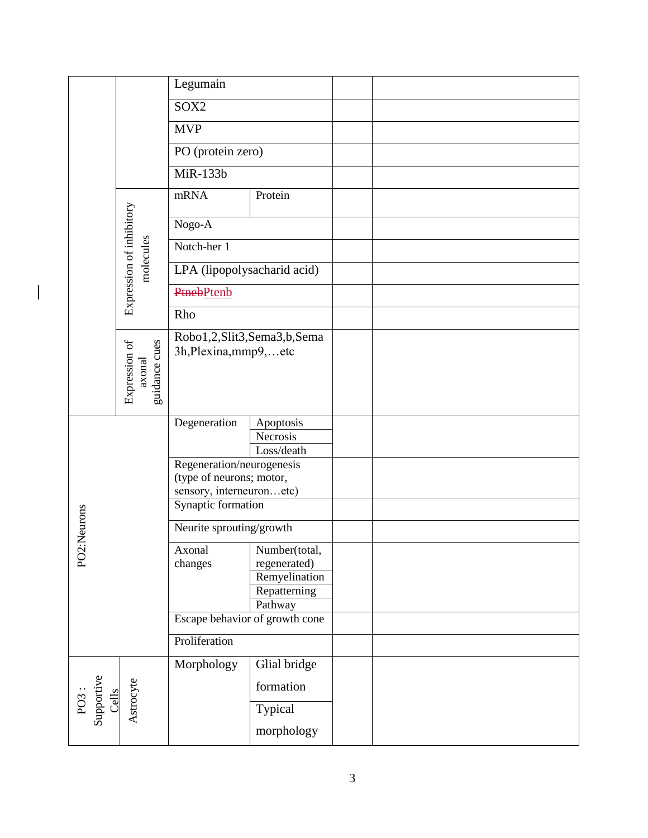|                                     |                                 | Legumain                                             |                               |  |
|-------------------------------------|---------------------------------|------------------------------------------------------|-------------------------------|--|
|                                     |                                 | SOX2                                                 |                               |  |
|                                     | <b>MVP</b><br>PO (protein zero) |                                                      |                               |  |
|                                     |                                 |                                                      |                               |  |
|                                     |                                 | MiR-133b                                             |                               |  |
|                                     | Expression of inhibitory        | mRNA                                                 | Protein                       |  |
|                                     |                                 | Nogo-A                                               |                               |  |
|                                     |                                 | Notch-her 1                                          |                               |  |
|                                     | molecules                       | LPA (lipopolysacharid acid)                          |                               |  |
|                                     |                                 | <b>Ptneb</b> Ptenb                                   |                               |  |
|                                     |                                 | Rho                                                  |                               |  |
|                                     |                                 | Robo1,2,Slit3,Sema3,b,Sema                           |                               |  |
|                                     | guidance cues<br>Expression of  | 3h, Plexina, mmp9,  etc                              |                               |  |
|                                     | axonal                          |                                                      |                               |  |
|                                     |                                 |                                                      |                               |  |
|                                     |                                 | Degeneration                                         | Apoptosis                     |  |
|                                     |                                 |                                                      | Necrosis<br>Loss/death        |  |
|                                     |                                 | Regeneration/neurogenesis                            |                               |  |
|                                     |                                 | (type of neurons; motor,<br>sensory, interneuronetc) |                               |  |
|                                     |                                 | Synaptic formation                                   |                               |  |
| :Neurons                            |                                 | Neurite sprouting/growth                             |                               |  |
|                                     |                                 |                                                      |                               |  |
| PO <sub>2</sub>                     |                                 | Axonal<br>changes                                    | Number(total,<br>regenerated) |  |
|                                     |                                 |                                                      | Remyelination                 |  |
|                                     |                                 |                                                      | Repatterning                  |  |
|                                     |                                 |                                                      | Pathway                       |  |
|                                     |                                 | Escape behavior of growth cone                       |                               |  |
|                                     |                                 | Proliferation                                        |                               |  |
|                                     |                                 | Morphology                                           | Glial bridge                  |  |
| PO3 :<br>Supportive<br><u>Cells</u> | Astrocyte                       |                                                      | formation                     |  |
|                                     |                                 |                                                      | Typical                       |  |
|                                     |                                 |                                                      | morphology                    |  |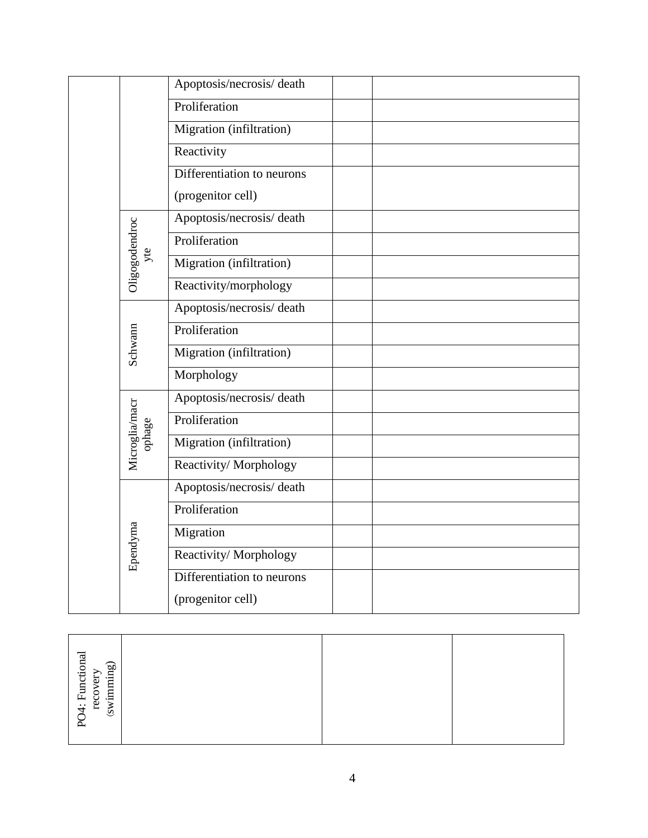|  |                          | Apoptosis/necrosis/death   |
|--|--------------------------|----------------------------|
|  |                          | Proliferation              |
|  |                          | Migration (infiltration)   |
|  |                          | Reactivity                 |
|  |                          | Differentiation to neurons |
|  |                          | (progenitor cell)          |
|  |                          | Apoptosis/necrosis/death   |
|  |                          | Proliferation              |
|  | Oligogodendroc<br>yte    | Migration (infiltration)   |
|  |                          | Reactivity/morphology      |
|  |                          | Apoptosis/necrosis/death   |
|  |                          | Proliferation              |
|  | Schwann                  | Migration (infiltration)   |
|  |                          | Morphology                 |
|  | Microglia/macr<br>ophage | Apoptosis/necrosis/death   |
|  |                          | Proliferation              |
|  |                          | Migration (infiltration)   |
|  |                          | Reactivity/Morphology      |
|  | Ependyma                 | Apoptosis/necrosis/death   |
|  |                          | Proliferation              |
|  |                          | Migration                  |
|  |                          | Reactivity/Morphology      |
|  |                          | Differentiation to neurons |
|  |                          | (progenitor cell)          |

| 04: Functional<br>(swimming)<br>recovery<br>≿ |  |  |
|-----------------------------------------------|--|--|
|                                               |  |  |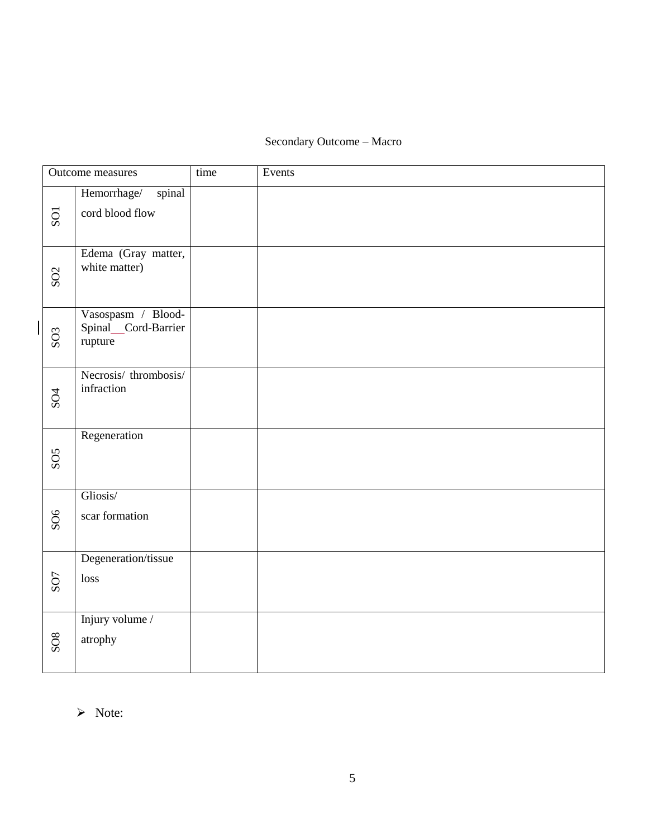# Secondary Outcome – Macro

|  | Outcome measures |                                                      | time | Events |
|--|------------------|------------------------------------------------------|------|--------|
|  | SO1              | Hemorrhage/<br>spinal<br>cord blood flow             |      |        |
|  | SO <sub>2</sub>  | Edema (Gray matter,<br>white matter)                 |      |        |
|  | SO <sub>3</sub>  | Vasospasm / Blood-<br>Spinal_Cord-Barrier<br>rupture |      |        |
|  | SO <sub>4</sub>  | Necrosis/thrombosis/<br>infraction                   |      |        |
|  | SOS              | Regeneration                                         |      |        |
|  | SO6              | Gliosis/<br>scar formation                           |      |        |
|  | SO <sub>7</sub>  | Degeneration/tissue<br>loss                          |      |        |
|  | <b>SO8</b>       | Injury volume /<br>atrophy                           |      |        |

> Note: